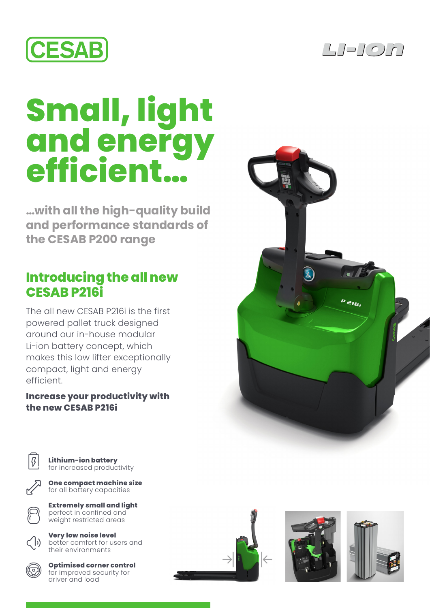



## **Small, light and energy efficient…**

**…with all the high-quality build and performance standards of the CESAB P200 range**

## **Introducing the all new CESAB P216i**

The all new CESAB P216i is the first powered pallet truck designed around our in-house modular Li-ion battery concept, which makes this low lifter exceptionally compact, light and energy efficient.

## **Increase your productivity with the new CESAB P216i**



**Lithium-ion battery**  for increased productivity



**Extremely small and light** perfect in confined and weight restricted areas

**Very low noise level** better comfort for users and their environments



**Optimised corner control**  for improved security for driver and load